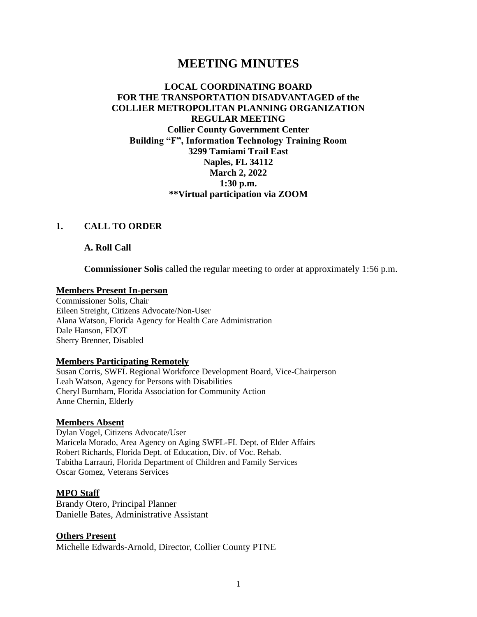# **MEETING MINUTES**

### **LOCAL COORDINATING BOARD FOR THE TRANSPORTATION DISADVANTAGED of the COLLIER METROPOLITAN PLANNING ORGANIZATION REGULAR MEETING Collier County Government Center Building "F", Information Technology Training Room 3299 Tamiami Trail East Naples, FL 34112 March 2, 2022 1:30 p.m. \*\*Virtual participation via ZOOM**

### **1. CALL TO ORDER**

**A. Roll Call** 

**Commissioner Solis** called the regular meeting to order at approximately 1:56 p.m.

### **Members Present In-person**

Commissioner Solis, Chair Eileen Streight, Citizens Advocate/Non-User Alana Watson, Florida Agency for Health Care Administration Dale Hanson, FDOT Sherry Brenner, Disabled

#### **Members Participating Remotely**

Susan Corris, SWFL Regional Workforce Development Board, Vice-Chairperson Leah Watson, Agency for Persons with Disabilities Cheryl Burnham, Florida Association for Community Action Anne Chernin, Elderly

#### **Members Absent**

Dylan Vogel, Citizens Advocate/User Maricela Morado, Area Agency on Aging SWFL-FL Dept. of Elder Affairs Robert Richards, Florida Dept. of Education, Div. of Voc. Rehab. Tabitha Larrauri, Florida Department of Children and Family Services Oscar Gomez, Veterans Services

#### **MPO Staff**

Brandy Otero, Principal Planner Danielle Bates, Administrative Assistant

#### **Others Present**

Michelle Edwards-Arnold, Director, Collier County PTNE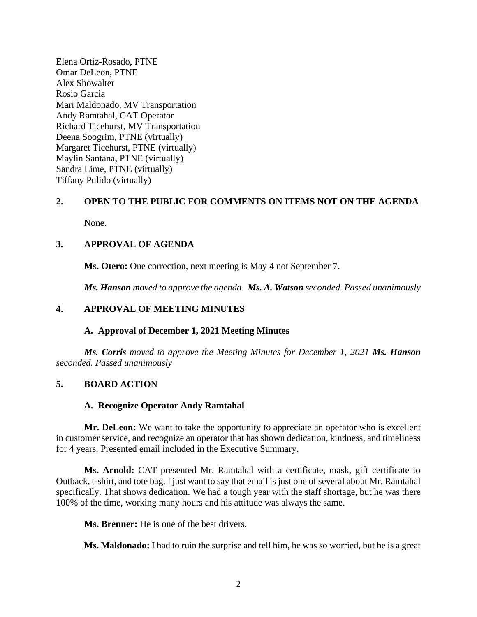Elena Ortiz-Rosado, PTNE Omar DeLeon, PTNE Alex Showalter Rosio Garcia Mari Maldonado, MV Transportation Andy Ramtahal, CAT Operator Richard Ticehurst, MV Transportation Deena Soogrim, PTNE (virtually) Margaret Ticehurst, PTNE (virtually) Maylin Santana, PTNE (virtually) Sandra Lime, PTNE (virtually) Tiffany Pulido (virtually)

# **2. OPEN TO THE PUBLIC FOR COMMENTS ON ITEMS NOT ON THE AGENDA**

None.

### **3. APPROVAL OF AGENDA**

**Ms. Otero:** One correction, next meeting is May 4 not September 7.

*Ms. Hanson moved to approve the agenda*. *Ms. A. Watson seconded. Passed unanimously*

### **4. APPROVAL OF MEETING MINUTES**

### **A. Approval of December 1, 2021 Meeting Minutes**

*Ms. Corris moved to approve the Meeting Minutes for December 1, 2021 Ms. Hanson seconded. Passed unanimously*

### **5. BOARD ACTION**

### **A. Recognize Operator Andy Ramtahal**

**Mr. DeLeon:** We want to take the opportunity to appreciate an operator who is excellent in customer service, and recognize an operator that has shown dedication, kindness, and timeliness for 4 years. Presented email included in the Executive Summary.

**Ms. Arnold:** CAT presented Mr. Ramtahal with a certificate, mask, gift certificate to Outback, t-shirt, and tote bag. I just want to say that email is just one of several about Mr. Ramtahal specifically. That shows dedication. We had a tough year with the staff shortage, but he was there 100% of the time, working many hours and his attitude was always the same.

**Ms. Brenner:** He is one of the best drivers.

**Ms. Maldonado:** I had to ruin the surprise and tell him, he was so worried, but he is a great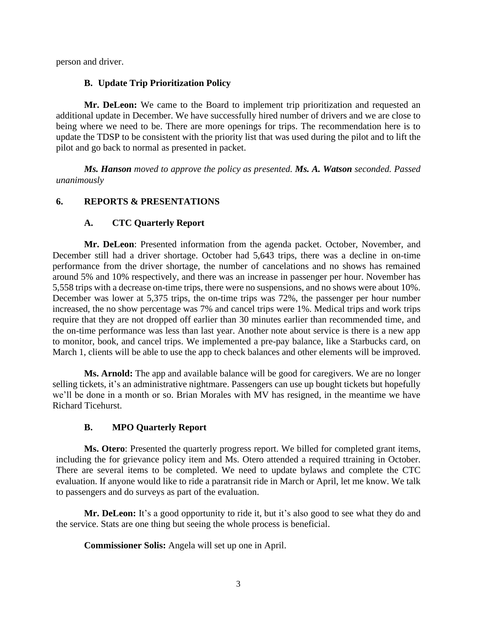person and driver.

### **B. Update Trip Prioritization Policy**

**Mr. DeLeon:** We came to the Board to implement trip prioritization and requested an additional update in December. We have successfully hired number of drivers and we are close to being where we need to be. There are more openings for trips. The recommendation here is to update the TDSP to be consistent with the priority list that was used during the pilot and to lift the pilot and go back to normal as presented in packet.

*Ms. Hanson moved to approve the policy as presented. Ms. A. Watson seconded. Passed unanimously*

# **6. REPORTS & PRESENTATIONS**

### **A. CTC Quarterly Report**

**Mr. DeLeon**: Presented information from the agenda packet. October, November, and December still had a driver shortage. October had 5,643 trips, there was a decline in on-time performance from the driver shortage, the number of cancelations and no shows has remained around 5% and 10% respectively, and there was an increase in passenger per hour. November has 5,558 trips with a decrease on-time trips, there were no suspensions, and no shows were about 10%. December was lower at 5,375 trips, the on-time trips was 72%, the passenger per hour number increased, the no show percentage was 7% and cancel trips were 1%. Medical trips and work trips require that they are not dropped off earlier than 30 minutes earlier than recommended time, and the on-time performance was less than last year. Another note about service is there is a new app to monitor, book, and cancel trips. We implemented a pre-pay balance, like a Starbucks card, on March 1, clients will be able to use the app to check balances and other elements will be improved.

**Ms. Arnold:** The app and available balance will be good for caregivers. We are no longer selling tickets, it's an administrative nightmare. Passengers can use up bought tickets but hopefully we'll be done in a month or so. Brian Morales with MV has resigned, in the meantime we have Richard Ticehurst.

### **B. MPO Quarterly Report**

**Ms. Otero**: Presented the quarterly progress report. We billed for completed grant items, including the for grievance policy item and Ms. Otero attended a required ttraining in October. There are several items to be completed. We need to update bylaws and complete the CTC evaluation. If anyone would like to ride a paratransit ride in March or April, let me know. We talk to passengers and do surveys as part of the evaluation.

Mr. DeLeon: It's a good opportunity to ride it, but it's also good to see what they do and the service. Stats are one thing but seeing the whole process is beneficial.

**Commissioner Solis:** Angela will set up one in April.